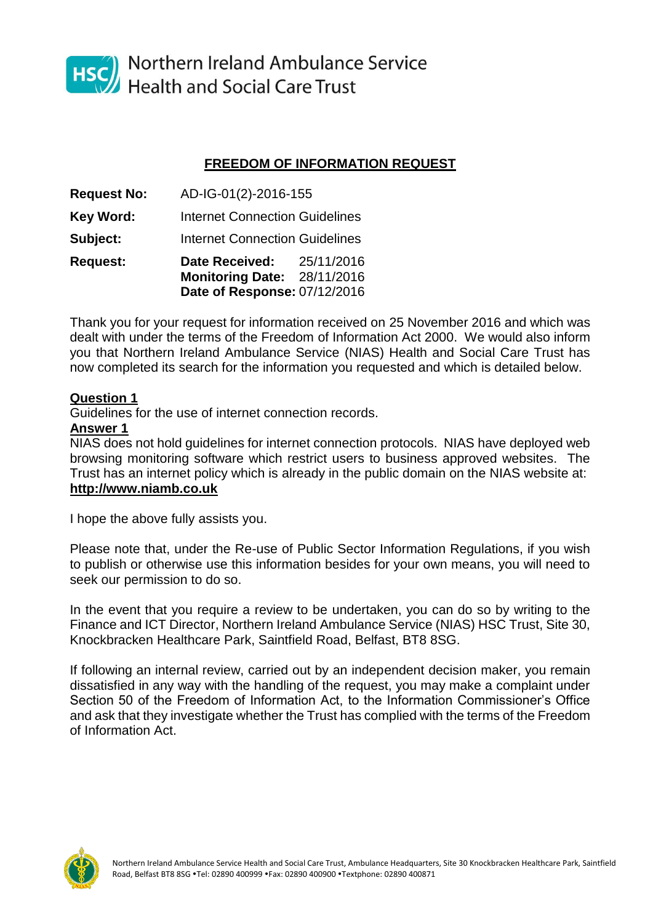

HSC Northern Ireland Ambulance Service<br>Health and Social Care Trust

## **FREEDOM OF INFORMATION REQUEST**

**Request No:** AD-IG-01(2)-2016-155 **Key Word:** Internet Connection Guidelines **Subject:** Internet Connection Guidelines **Request: Date Received:** 25/11/2016 **Monitoring Date:** 28/11/2016 **Date of Response:** 07/12/2016

Thank you for your request for information received on 25 November 2016 and which was dealt with under the terms of the Freedom of Information Act 2000. We would also inform you that Northern Ireland Ambulance Service (NIAS) Health and Social Care Trust has now completed its search for the information you requested and which is detailed below.

## **Question 1**

Guidelines for the use of internet connection records.

## **Answer 1**

NIAS does not hold guidelines for internet connection protocols. NIAS have deployed web browsing monitoring software which restrict users to business approved websites. The Trust has an internet policy which is already in the public domain on the NIAS website at: **http://www.niamb.co.uk**

I hope the above fully assists you.

Please note that, under the Re-use of Public Sector Information Regulations, if you wish to publish or otherwise use this information besides for your own means, you will need to seek our permission to do so.

In the event that you require a review to be undertaken, you can do so by writing to the Finance and ICT Director, Northern Ireland Ambulance Service (NIAS) HSC Trust, Site 30, Knockbracken Healthcare Park, Saintfield Road, Belfast, BT8 8SG.

If following an internal review, carried out by an independent decision maker, you remain dissatisfied in any way with the handling of the request, you may make a complaint under Section 50 of the Freedom of Information Act, to the Information Commissioner's Office and ask that they investigate whether the Trust has complied with the terms of the Freedom of Information Act.